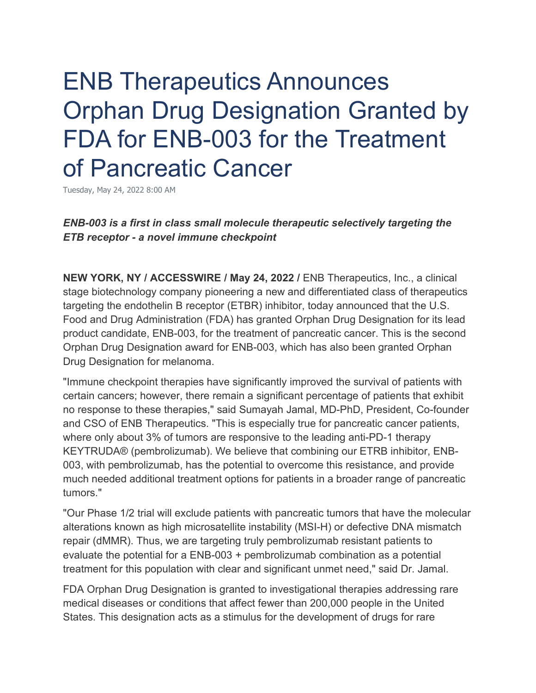# ENB Therapeutics Announces Orphan Drug Designation Granted by FDA for ENB-003 for the Treatment of Pancreatic Cancer

Tuesday, May 24, 2022 8:00 AM

*ENB-003 is a first in class small molecule therapeutic selectively targeting the ETB receptor - a novel immune checkpoint*

**NEW YORK, NY / ACCESSWIRE / May 24, 2022 /** ENB Therapeutics, Inc., a clinical stage biotechnology company pioneering a new and differentiated class of therapeutics targeting the endothelin B receptor (ETBR) inhibitor, today announced that the U.S. Food and Drug Administration (FDA) has granted Orphan Drug Designation for its lead product candidate, ENB-003, for the treatment of pancreatic cancer. This is the second Orphan Drug Designation award for ENB-003, which has also been granted Orphan Drug Designation for melanoma.

"Immune checkpoint therapies have significantly improved the survival of patients with certain cancers; however, there remain a significant percentage of patients that exhibit no response to these therapies," said Sumayah Jamal, MD-PhD, President, Co-founder and CSO of ENB Therapeutics. "This is especially true for pancreatic cancer patients, where only about 3% of tumors are responsive to the leading anti-PD-1 therapy KEYTRUDA® (pembrolizumab). We believe that combining our ETRB inhibitor, ENB-003, with pembrolizumab, has the potential to overcome this resistance, and provide much needed additional treatment options for patients in a broader range of pancreatic tumors."

"Our Phase 1/2 trial will exclude patients with pancreatic tumors that have the molecular alterations known as high microsatellite instability (MSI-H) or defective DNA mismatch repair (dMMR). Thus, we are targeting truly pembrolizumab resistant patients to evaluate the potential for a ENB-003 + pembrolizumab combination as a potential treatment for this population with clear and significant unmet need," said Dr. Jamal.

FDA Orphan Drug Designation is granted to investigational therapies addressing rare medical diseases or conditions that affect fewer than 200,000 people in the United States. This designation acts as a stimulus for the development of drugs for rare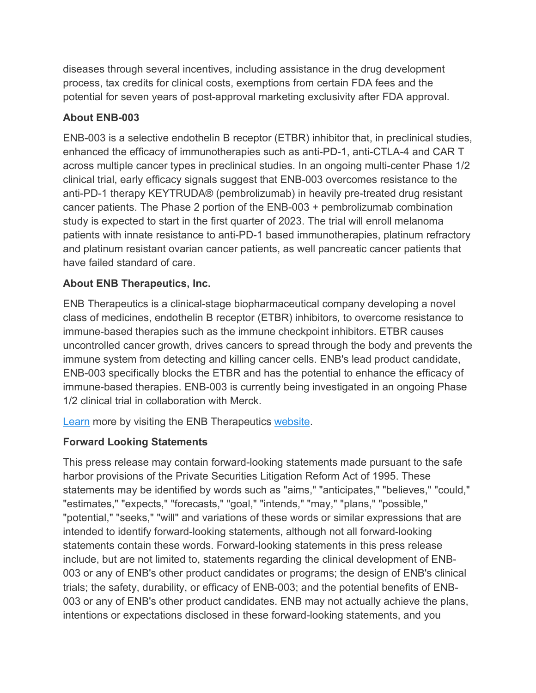diseases through several incentives, including assistance in the drug development process, tax credits for clinical costs, exemptions from certain FDA fees and the potential for seven years of post-approval marketing exclusivity after FDA approval.

### **About ENB-003**

ENB-003 is a selective endothelin B receptor (ETBR) inhibitor that, in preclinical studies, enhanced the efficacy of immunotherapies such as anti-PD-1, anti-CTLA-4 and CAR T across multiple cancer types in preclinical studies. In an ongoing multi-center Phase 1/2 clinical trial, early efficacy signals suggest that ENB-003 overcomes resistance to the anti-PD-1 therapy KEYTRUDA® (pembrolizumab) in heavily pre-treated drug resistant cancer patients. The Phase 2 portion of the ENB-003 + pembrolizumab combination study is expected to start in the first quarter of 2023. The trial will enroll melanoma patients with innate resistance to anti-PD-1 based immunotherapies, platinum refractory and platinum resistant ovarian cancer patients, as well pancreatic cancer patients that have failed standard of care.

## **About ENB Therapeutics, Inc.**

ENB Therapeutics is a clinical-stage biopharmaceutical company developing a novel class of medicines, endothelin B receptor (ETBR) inhibitors*,* to overcome resistance to immune-based therapies such as the immune checkpoint inhibitors. ETBR causes uncontrolled cancer growth, drives cancers to spread through the body and prevents the immune system from detecting and killing cancer cells. ENB's lead product candidate, ENB-003 specifically blocks the ETBR and has the potential to enhance the efficacy of immune-based therapies. ENB-003 is currently being investigated in an ongoing Phase 1/2 clinical trial in collaboration with Merck.

**[Learn](https://pr.report/xkgMSeWJ) more by visiting the ENB Therapeutics [website.](https://pr.report/6nPm1iIH)** 

## **Forward Looking Statements**

This press release may contain forward-looking statements made pursuant to the safe harbor provisions of the Private Securities Litigation Reform Act of 1995. These statements may be identified by words such as "aims," "anticipates," "believes," "could," "estimates," "expects," "forecasts," "goal," "intends," "may," "plans," "possible," "potential," "seeks," "will" and variations of these words or similar expressions that are intended to identify forward-looking statements, although not all forward-looking statements contain these words. Forward-looking statements in this press release include, but are not limited to, statements regarding the clinical development of ENB-003 or any of ENB's other product candidates or programs; the design of ENB's clinical trials; the safety, durability, or efficacy of ENB-003; and the potential benefits of ENB-003 or any of ENB's other product candidates. ENB may not actually achieve the plans, intentions or expectations disclosed in these forward-looking statements, and you